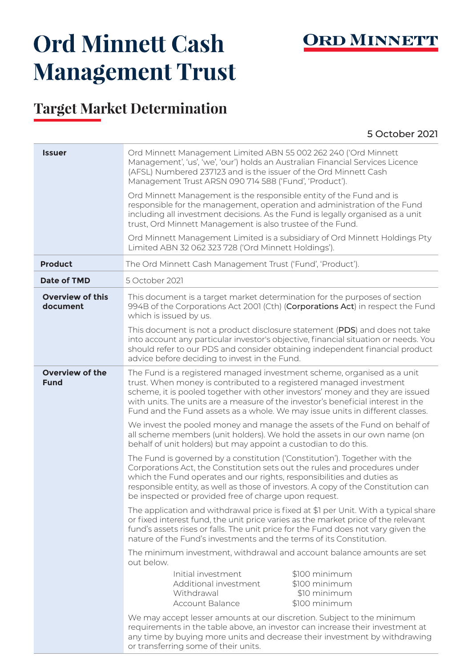

## **Ord Minnett Cash Management Trust**

## **Target Market Determination**

5 October 2021

| <b>Issuer</b>                         | Ord Minnett Management Limited ABN 55 002 262 240 ('Ord Minnett<br>Management', 'us', 'we', 'our') holds an Australian Financial Services Licence<br>(AFSL) Numbered 237123 and is the issuer of the Ord Minnett Cash<br>Management Trust ARSN 090 714 588 ('Fund', 'Product').<br>Ord Minnett Management is the responsible entity of the Fund and is<br>responsible for the management, operation and administration of the Fund<br>including all investment decisions. As the Fund is legally organised as a unit |  |  |  |
|---------------------------------------|----------------------------------------------------------------------------------------------------------------------------------------------------------------------------------------------------------------------------------------------------------------------------------------------------------------------------------------------------------------------------------------------------------------------------------------------------------------------------------------------------------------------|--|--|--|
|                                       | trust, Ord Minnett Management is also trustee of the Fund.                                                                                                                                                                                                                                                                                                                                                                                                                                                           |  |  |  |
|                                       | Ord Minnett Management Limited is a subsidiary of Ord Minnett Holdings Pty<br>Limited ABN 32 062 323 728 ('Ord Minnett Holdings').                                                                                                                                                                                                                                                                                                                                                                                   |  |  |  |
| <b>Product</b>                        | The Ord Minnett Cash Management Trust ('Fund', 'Product').                                                                                                                                                                                                                                                                                                                                                                                                                                                           |  |  |  |
| <b>Date of TMD</b>                    | 5 October 2021                                                                                                                                                                                                                                                                                                                                                                                                                                                                                                       |  |  |  |
| <b>Overview of this</b><br>document   | This document is a target market determination for the purposes of section<br>994B of the Corporations Act 2001 (Cth) (Corporations Act) in respect the Fund<br>which is issued by us.                                                                                                                                                                                                                                                                                                                               |  |  |  |
|                                       | This document is not a product disclosure statement (PDS) and does not take<br>into account any particular investor's objective, financial situation or needs. You<br>should refer to our PDS and consider obtaining independent financial product<br>advice before deciding to invest in the Fund.                                                                                                                                                                                                                  |  |  |  |
| <b>Overview of the</b><br><b>Fund</b> | The Fund is a registered managed investment scheme, organised as a unit<br>trust. When money is contributed to a registered managed investment<br>scheme, it is pooled together with other investors' money and they are issued<br>with units. The units are a measure of the investor's beneficial interest in the<br>Fund and the Fund assets as a whole. We may issue units in different classes.                                                                                                                 |  |  |  |
|                                       | We invest the pooled money and manage the assets of the Fund on behalf of<br>all scheme members (unit holders). We hold the assets in our own name (on<br>behalf of unit holders) but may appoint a custodian to do this.                                                                                                                                                                                                                                                                                            |  |  |  |
|                                       | The Fund is governed by a constitution ('Constitution'). Together with the<br>Corporations Act, the Constitution sets out the rules and procedures under<br>which the Fund operates and our rights, responsibilities and duties as<br>responsible entity, as well as those of investors. A copy of the Constitution can<br>be inspected or provided free of charge upon request.                                                                                                                                     |  |  |  |
|                                       | The application and withdrawal price is fixed at \$1 per Unit. With a typical share<br>or fixed interest fund, the unit price varies as the market price of the relevant<br>fund's assets rises or falls. The unit price for the Fund does not vary given the<br>nature of the Fund's investments and the terms of its Constitution.                                                                                                                                                                                 |  |  |  |
|                                       | The minimum investment, withdrawal and account balance amounts are set<br>out below.                                                                                                                                                                                                                                                                                                                                                                                                                                 |  |  |  |
|                                       | \$100 minimum<br>Initial investment<br>Additional investment<br>\$100 minimum<br>Withdrawal<br>\$10 minimum<br>\$100 minimum<br><b>Account Balance</b>                                                                                                                                                                                                                                                                                                                                                               |  |  |  |
|                                       | We may accept lesser amounts at our discretion. Subject to the minimum<br>requirements in the table above, an investor can increase their investment at<br>any time by buying more units and decrease their investment by withdrawing<br>or transferring some of their units.                                                                                                                                                                                                                                        |  |  |  |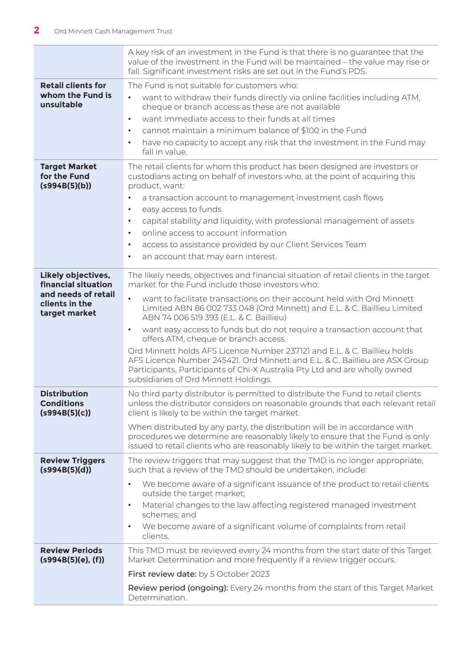|                                                                                                     | A key risk of an investment in the Fund is that there is no guarantee that the<br>value of the investment in the Fund will be maintained - the value may rise or<br>fall. Significant investment risks are set out in the Fund's PDS.                                                                                                                                                                                                                                                                                                                                                                                                                                                                                                                      |
|-----------------------------------------------------------------------------------------------------|------------------------------------------------------------------------------------------------------------------------------------------------------------------------------------------------------------------------------------------------------------------------------------------------------------------------------------------------------------------------------------------------------------------------------------------------------------------------------------------------------------------------------------------------------------------------------------------------------------------------------------------------------------------------------------------------------------------------------------------------------------|
| <b>Retail clients for</b><br>whom the Fund is<br>unsuitable                                         | The Fund is not suitable for customers who:<br>want to withdraw their funds directly via online facilities including ATM,<br>$\bullet$<br>cheque or branch access as these are not available<br>want immediate access to their funds at all times<br>$\bullet$<br>cannot maintain a minimum balance of \$100 in the Fund<br>$\bullet$<br>have no capacity to accept any risk that the investment in the Fund may<br>$\bullet$<br>fall in value.                                                                                                                                                                                                                                                                                                            |
| <b>Target Market</b><br>for the Fund<br>(s994B(5)(b))                                               | The retail clients for whom this product has been designed are investors or<br>custodians acting on behalf of investors who, at the point of acquiring this<br>product, want:<br>a transaction account to management investment cash flows<br>$\bullet$<br>easy access to funds<br>$\bullet$<br>capital stability and liquidity, with professional management of assets<br>$\bullet$<br>online access to account information<br>$\bullet$<br>access to assistance provided by our Client Services Team<br>$\bullet$<br>an account that may earn interest.<br>$\bullet$                                                                                                                                                                                     |
| Likely objectives,<br>financial situation<br>and needs of retail<br>clients in the<br>target market | The likely needs, objectives and financial situation of retail clients in the target<br>market for the Fund include those investors who:<br>want to facilitate transactions on their account held with Ord Minnett<br>Limited ABN 86 002 733 048 (Ord Minnett) and E.L. & C. Baillieu Limited<br>ABN 74 006 519 393 (E.L. & C. Baillieu)<br>want easy access to funds but do not require a transaction account that<br>$\bullet$<br>offers ATM, cheque or branch access.<br>Ord Minnett holds AFS Licence Number 237121 and E.L. & C. Baillieu holds<br>AFS Licence Number 245421. Ord Minnett and E.L. & C. Baillieu are ASX Group<br>Participants, Participants of Chi-X Australia Pty Ltd and are wholly owned<br>subsidiaries of Ord Minnett Holdings. |
| <b>Distribution</b><br>Conditions<br>(s994B(5)(c))                                                  | No third party distributor is permitted to distribute the Fund to retail clients<br>unless the distributor considers on reasonable grounds that each relevant retail<br>client is likely to be within the target market.<br>When distributed by any party, the distribution will be in accordance with<br>procedures we determine are reasonably likely to ensure that the Fund is only<br>issued to retail clients who are reasonably likely to be within the target market.                                                                                                                                                                                                                                                                              |
| <b>Review Triggers</b><br>(s994B(5)(d))                                                             | The review triggers that may suggest that the TMD is no longer appropriate,<br>such that a review of the TMD should be undertaken, include:<br>We become aware of a significant issuance of the product to retail clients<br>$\bullet$<br>outside the target market;<br>Material changes to the law affecting registered managed investment<br>$\bullet$<br>schemes; and<br>We become aware of a significant volume of complaints from retail<br>$\bullet$<br>clients.                                                                                                                                                                                                                                                                                     |
| <b>Review Periods</b><br>(s994B(5)(e), (f))                                                         | This TMD must be reviewed every 24 months from the start date of this Target<br>Market Determination and more frequently if a review trigger occurs.<br>First review date: by 5 October 2023<br>Review period (ongoing): Every 24 months from the start of this Target Market<br>Determination.                                                                                                                                                                                                                                                                                                                                                                                                                                                            |